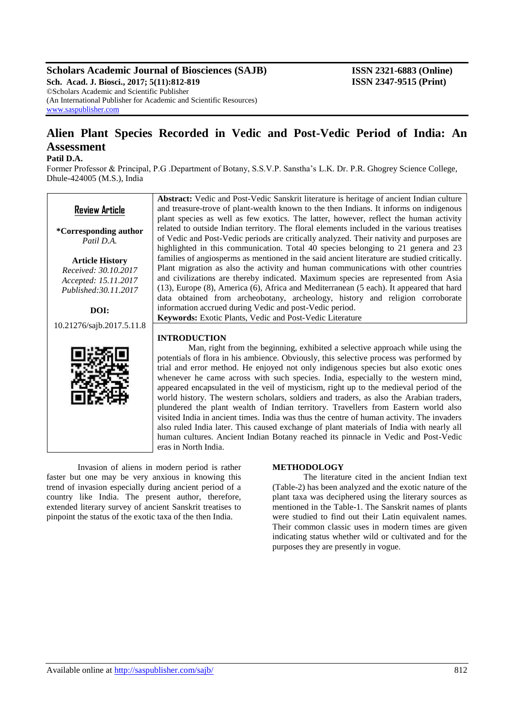# **Scholars Academic Journal of Biosciences (SAJB) ISSN 2321-6883 (Online)**

**Sch. Acad. J. Biosci., 2017; 5(11):812-819 ISSN 2347-9515 (Print)** ©Scholars Academic and Scientific Publisher (An International Publisher for Academic and Scientific Resources) [www.saspublisher.com](http://www.saspublisher.com/)

# **Alien Plant Species Recorded in Vedic and Post-Vedic Period of India: An Assessment**

## **Patil D.A.**

Former Professor & Principal, P.G .Department of Botany, S.S.V.P. Sanstha"s L.K. Dr. P.R. Ghogrey Science College, Dhule-424005 (M.S.), India



Invasion of aliens in modern period is rather faster but one may be very anxious in knowing this trend of invasion especially during ancient period of a country like India. The present author, therefore, extended literary survey of ancient Sanskrit treatises to pinpoint the status of the exotic taxa of the then India.

#### **METHODOLOGY**

The literature cited in the ancient Indian text (Table-2) has been analyzed and the exotic nature of the plant taxa was deciphered using the literary sources as mentioned in the Table-1. The Sanskrit names of plants were studied to find out their Latin equivalent names. Their common classic uses in modern times are given indicating status whether wild or cultivated and for the purposes they are presently in vogue.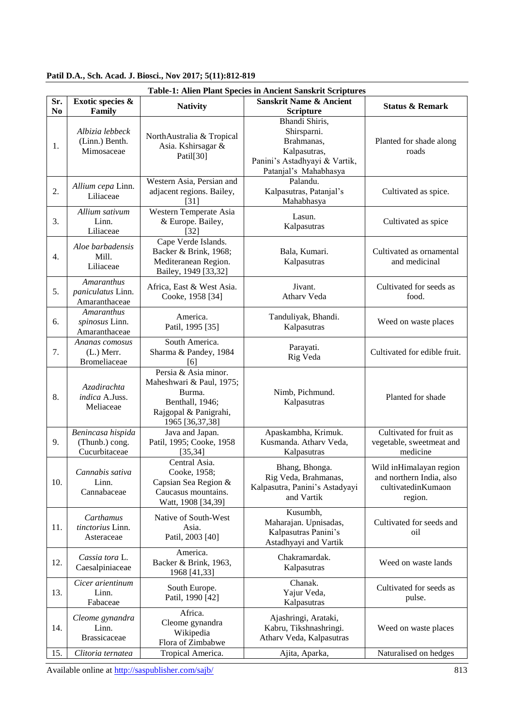|                       | Table-1: Alien Plant Species in Ancient Sanskrit Scriptures |                                                                                                                           |                                                                                                                       |                                                                                      |  |
|-----------------------|-------------------------------------------------------------|---------------------------------------------------------------------------------------------------------------------------|-----------------------------------------------------------------------------------------------------------------------|--------------------------------------------------------------------------------------|--|
| Sr.<br>N <sub>o</sub> | Exotic species &<br>Family                                  | <b>Nativity</b>                                                                                                           | <b>Sanskrit Name &amp; Ancient</b><br><b>Scripture</b>                                                                | <b>Status &amp; Remark</b>                                                           |  |
| 1.                    | Albizia lebbeck<br>(Linn.) Benth.<br>Mimosaceae             | NorthAustralia & Tropical<br>Asia. Kshirsagar &<br>Patil[30]                                                              | Bhandi Shiris,<br>Shirsparni.<br>Brahmanas,<br>Kalpasutras,<br>Panini's Astadhyayi & Vartik,<br>Patanjal's Mahabhasya | Planted for shade along<br>roads                                                     |  |
| 2.                    | Allium cepa Linn.<br>Liliaceae                              | Western Asia, Persian and<br>adjacent regions. Bailey,<br>[31]                                                            | Palandu.<br>Kalpasutras, Patanjal's<br>Mahabhasya                                                                     | Cultivated as spice.                                                                 |  |
| 3.                    | Allium sativum<br>Linn.<br>Liliaceae                        | Western Temperate Asia<br>& Europe. Bailey,<br>$[32]$                                                                     | Lasun.<br>Kalpasutras                                                                                                 | Cultivated as spice                                                                  |  |
| 4.                    | Aloe barbadensis<br>Mill.<br>Liliaceae                      | Cape Verde Islands.<br>Backer & Brink, 1968;<br>Mediteranean Region.<br>Bailey, 1949 [33,32]                              | Bala, Kumari.<br>Kalpasutras                                                                                          | Cultivated as ornamental<br>and medicinal                                            |  |
| 5.                    | <b>Amaranthus</b><br>paniculatus Linn.<br>Amaranthaceae     | Africa, East & West Asia.<br>Cooke, 1958 [34]                                                                             | Jivant.<br>Atharv Veda                                                                                                | Cultivated for seeds as<br>food.                                                     |  |
| 6.                    | Amaranthus<br>spinosus Linn.<br>Amaranthaceae               | America.<br>Patil, 1995 [35]                                                                                              | Tanduliyak, Bhandi.<br>Kalpasutras                                                                                    | Weed on waste places                                                                 |  |
| 7.                    | Ananas comosus<br>$(L.)$ Merr.<br>Bromeliaceae              | South America.<br>Sharma & Pandey, 1984<br>[6]                                                                            | Parayati.<br>Rig Veda                                                                                                 | Cultivated for edible fruit.                                                         |  |
| 8.                    | Azadirachta<br>indica A.Juss.<br>Meliaceae                  | Persia & Asia minor.<br>Maheshwari & Paul, 1975;<br>Burma.<br>Benthall, 1946;<br>Rajgopal & Panigrahi,<br>1965 [36,37,38] | Nimb, Pichmund.<br>Kalpasutras                                                                                        | Planted for shade                                                                    |  |
| 9.                    | Benincasa hispida<br>(Thunb.) cong.<br>Cucurbitaceae        | Java and Japan.<br>Patil, 1995; Cooke, 1958<br>[35, 34]                                                                   | Apaskambha, Krimuk.<br>Kusmanda. Atharv Veda,<br>Kalpasutras                                                          | Cultivated for fruit as<br>vegetable, sweetmeat and<br>medicine                      |  |
| 10.                   | Cannabis sativa<br>Linn.<br>Cannabaceae                     | Central Asia.<br>Cooke, 1958;<br>Capsian Sea Region &<br>Caucasus mountains.<br>Watt, 1908 [34,39]                        | Bhang, Bhonga.<br>Rig Veda, Brahmanas,<br>Kalpasutra, Panini's Astadyayi<br>and Vartik                                | Wild inHimalayan region<br>and northern India, also<br>cultivatedinKumaon<br>region. |  |
| 11.                   | Carthamus<br>tinctorius Linn.<br>Asteraceae                 | Native of South-West<br>Asia.<br>Patil, 2003 [40]                                                                         | Kusumbh,<br>Maharajan. Upnisadas,<br>Kalpasutras Panini's<br>Astadhyayi and Vartik                                    | Cultivated for seeds and<br>oil                                                      |  |
| 12.                   | Cassia tora L.<br>Caesalpiniaceae                           | America.<br>Backer & Brink, 1963,<br>1968 [41,33]                                                                         | Chakramardak.<br>Kalpasutras                                                                                          | Weed on waste lands                                                                  |  |
| 13.                   | Cicer arientinum<br>Linn.<br>Fabaceae                       | South Europe.<br>Patil, 1990 [42]                                                                                         | Chanak.<br>Yajur Veda,<br>Kalpasutras                                                                                 | Cultivated for seeds as<br>pulse.                                                    |  |
| 14.                   | Cleome gynandra<br>Linn.<br><b>Brassicaceae</b>             | Africa.<br>Cleome gynandra<br>Wikipedia<br>Flora of Zimbabwe                                                              | Ajashringi, Arataki,<br>Kabru, Tikshnashringi.<br>Atharv Veda, Kalpasutras                                            | Weed on waste places                                                                 |  |
| 15.                   | Clitoria ternatea                                           | Tropical America.                                                                                                         | Ajita, Aparka,                                                                                                        | Naturalised on hedges                                                                |  |

**Patil D.A***.***, Sch. Acad. J. Biosci., Nov 2017; 5(11):812-819**

Available online at<http://saspublisher.com/sajb/> 813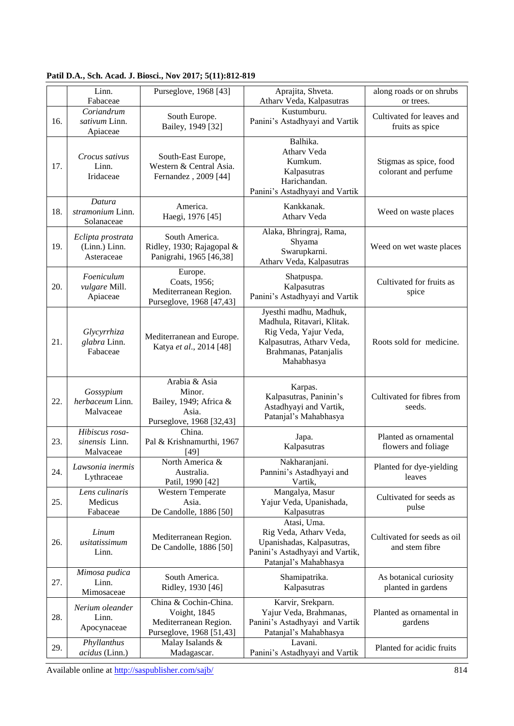|     | Linn.<br>Fabaceae                                | Purseglove, 1968 [43]                                                                      | Aprajita, Shveta.<br>Atharv Veda, Kalpasutras                                                                                                     | along roads or on shrubs<br>or trees.          |
|-----|--------------------------------------------------|--------------------------------------------------------------------------------------------|---------------------------------------------------------------------------------------------------------------------------------------------------|------------------------------------------------|
| 16. | Coriandrum<br>sativum Linn.<br>Apiaceae          | South Europe.<br>Bailey, 1949 [32]                                                         | Kustumburu.<br>Panini's Astadhyayi and Vartik                                                                                                     | Cultivated for leaves and<br>fruits as spice   |
| 17. | Crocus sativus<br>Linn.<br>Iridaceae             | South-East Europe,<br>Western & Central Asia.<br>Fernandez, 2009 [44]                      | Balhika.<br>Atharv Veda<br>Kumkum.<br>Kalpasutras<br>Harichandan.<br>Panini's Astadhyayi and Vartik                                               | Stigmas as spice, food<br>colorant and perfume |
| 18. | Datura<br>stramonium Linn.<br>Solanaceae         | America.<br>Haegi, 1976 [45]                                                               | Kankkanak.<br>Atharv Veda                                                                                                                         | Weed on waste places                           |
| 19. | Eclipta prostrata<br>(Linn.) Linn.<br>Asteraceae | South America.<br>Ridley, 1930; Rajagopal &<br>Panigrahi, 1965 [46,38]                     | Alaka, Bhringraj, Rama,<br>Shyama<br>Swarupkarni.<br>Atharv Veda, Kalpasutras                                                                     | Weed on wet waste places                       |
| 20. | Foeniculum<br>vulgare Mill.<br>Apiaceae          | Europe.<br>Coats, 1956;<br>Mediterranean Region.<br>Purseglove, 1968 [47,43]               | Shatpuspa.<br>Kalpasutras<br>Panini's Astadhyayi and Vartik                                                                                       | Cultivated for fruits as<br>spice              |
| 21. | Glycyrrhiza<br>glabra Linn.<br>Fabaceae          | Mediterranean and Europe.<br>Katya et al., 2014 [48]                                       | Jyesthi madhu, Madhuk,<br>Madhula, Ritavari, Klitak.<br>Rig Veda, Yajur Veda,<br>Kalpasutras, Atharv Veda,<br>Brahmanas, Patanjalis<br>Mahabhasya | Roots sold for medicine.                       |
| 22. | Gossypium<br>herbaceum Linn.<br>Malvaceae        | Arabia & Asia<br>Minor.<br>Bailey, 1949; Africa &<br>Asia.<br>Purseglove, 1968 [32,43]     | Karpas.<br>Kalpasutras, Paninin's<br>Astadhyayi and Vartik,<br>Patanjal's Mahabhasya                                                              | Cultivated for fibres from<br>seeds.           |
| 23. | Hibiscus rosa-<br>sinensis Linn.<br>Malvaceae    | China.<br>Pal & Krishnamurthi, 1967<br>$[49]$                                              | Japa.<br>Kalpasutras                                                                                                                              | Planted as ornamental<br>flowers and foliage   |
| 24. | Lawsonia inermis<br>Lythraceae                   | North America &<br>Australia.<br>Patil, 1990 [42]                                          | Nakharanjani.<br>Pannini's Astadhyayi and<br>Vartik,                                                                                              | Planted for dye-yielding<br>leaves             |
| 25. | Lens culinaris<br>Medicus<br>Fabaceae            | Western Temperate<br>Asia.<br>De Candolle, 1886 [50]                                       | Mangalya, Masur<br>Yajur Veda, Upanishada,<br>Kalpasutras                                                                                         | Cultivated for seeds as<br>pulse               |
| 26. | Linum<br>usitatissimum<br>Linn.                  | Mediterranean Region.<br>De Candolle, 1886 [50]                                            | Atasi, Uma.<br>Rig Veda, Atharv Veda,<br>Upanishadas, Kalpasutras,<br>Panini's Astadhyayi and Vartik,<br>Patanjal's Mahabhasya                    | Cultivated for seeds as oil<br>and stem fibre  |
| 27. | Mimosa pudica<br>Linn.<br>Mimosaceae             | South America.<br>Ridley, 1930 [46]                                                        | Shamipatrika.<br>Kalpasutras                                                                                                                      | As botanical curiosity<br>planted in gardens   |
| 28. | Nerium oleander<br>Linn.<br>Apocynaceae          | China & Cochin-China.<br>Voight, 1845<br>Mediterranean Region.<br>Purseglove, 1968 [51,43] | Karvir, Srekparn.<br>Yajur Veda, Brahmanas,<br>Panini's Astadhyayi and Vartik<br>Patanjal's Mahabhasya                                            | Planted as ornamental in<br>gardens            |
| 29. | Phyllanthus<br>acidus (Linn.)                    | Malay Isalands &<br>Madagascar.                                                            | Lavani.<br>Panini's Astadhyayi and Vartik                                                                                                         | Planted for acidic fruits                      |

**Patil D.A***.***, Sch. Acad. J. Biosci., Nov 2017; 5(11):812-819**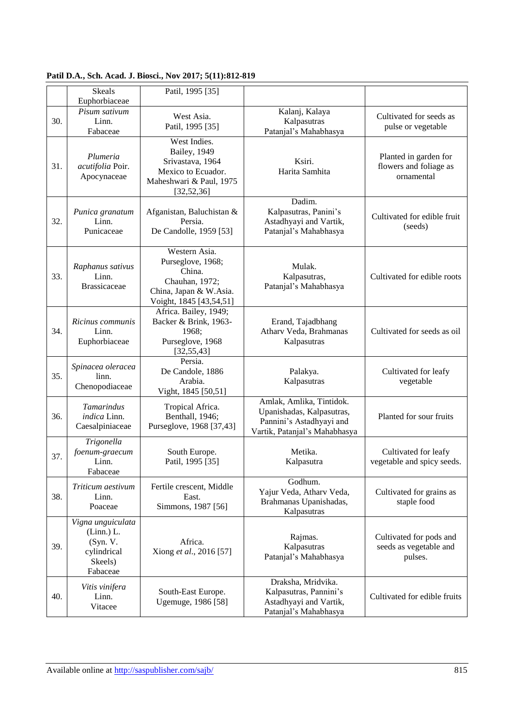|     | <b>Skeals</b>                                                                     | Patil, 1995 [35]                                                                                                    |                                                                                                                    |                                                               |
|-----|-----------------------------------------------------------------------------------|---------------------------------------------------------------------------------------------------------------------|--------------------------------------------------------------------------------------------------------------------|---------------------------------------------------------------|
|     | Euphorbiaceae                                                                     |                                                                                                                     |                                                                                                                    |                                                               |
| 30. | Pisum sativum<br>Linn.<br>Fabaceae                                                | West Asia.<br>Patil, 1995 [35]                                                                                      | Kalanj, Kalaya<br>Kalpasutras<br>Patanjal's Mahabhasya                                                             | Cultivated for seeds as<br>pulse or vegetable                 |
| 31. | Plumeria<br>acutifolia Poir.<br>Apocynaceae                                       | West Indies.<br>Bailey, 1949<br>Srivastava, 1964<br>Mexico to Ecuador.<br>Maheshwari & Paul, 1975<br>[32, 52, 36]   | Ksiri.<br>Harita Samhita                                                                                           | Planted in garden for<br>flowers and foliage as<br>ornamental |
| 32. | Punica granatum<br>Linn.<br>Punicaceae                                            | Afganistan, Baluchistan &<br>Persia.<br>De Candolle, 1959 [53]                                                      | Dadim.<br>Kalpasutras, Panini's<br>Astadhyayi and Vartik,<br>Patanjal's Mahabhasya                                 | Cultivated for edible fruit<br>(seeds)                        |
| 33. | Raphanus sativus<br>Linn.<br><b>Brassicaceae</b>                                  | Western Asia.<br>Purseglove, 1968;<br>China.<br>Chauhan, 1972;<br>China, Japan & W.Asia.<br>Voight, 1845 [43,54,51] | Mulak.<br>Kalpasutras,<br>Patanjal's Mahabhasya                                                                    | Cultivated for edible roots                                   |
| 34. | Ricinus communis<br>Linn.<br>Euphorbiaceae                                        | Africa. Bailey, 1949;<br>Backer & Brink, 1963-<br>1968;<br>Purseglove, 1968<br>[32, 55, 43]                         | Erand, Tajadbhang<br>Atharv Veda, Brahmanas<br>Kalpasutras                                                         | Cultivated for seeds as oil                                   |
| 35. | Spinacea oleracea<br>linn.<br>Chenopodiaceae                                      | Persia.<br>De Candole, 1886<br>Arabia.<br>Vight, 1845 [50,51]                                                       | Palakya.<br>Kalpasutras                                                                                            | Cultivated for leafy<br>vegetable                             |
| 36. | Tamarindus<br>indica Linn.<br>Caesalpiniaceae                                     | Tropical Africa.<br>Benthall, 1946;<br>Purseglove, 1968 [37,43]                                                     | Amlak, Amlika, Tintidok.<br>Upanishadas, Kalpasutras,<br>Pannini's Astadhyayi and<br>Vartik, Patanjal's Mahabhasya | Planted for sour fruits                                       |
| 37. | Trigonella<br>foenum-graecum<br>Linn.<br>Fabaceae                                 | South Europe.<br>Patil, 1995 [35]                                                                                   | Metika.<br>Kalpasutra                                                                                              | Cultivated for leafy<br>vegetable and spicy seeds.            |
| 38. | Triticum aestivum<br>Linn.<br>Poaceae                                             | Fertile crescent, Middle<br>East.<br>Simmons, 1987 [56]                                                             | Godhum.<br>Yajur Veda, Atharv Veda,<br>Brahmanas Upanishadas,<br>Kalpasutras                                       | Cultivated for grains as<br>staple food                       |
| 39. | Vigna unguiculata<br>(Linn.) L.<br>(Syn. V.<br>cylindrical<br>Skeels)<br>Fabaceae | Africa.<br>Xiong et al., 2016 [57]                                                                                  | Rajmas.<br>Kalpasutras<br>Patanjal's Mahabhasya                                                                    | Cultivated for pods and<br>seeds as vegetable and<br>pulses.  |
| 40. | Vitis vinifera<br>Linn.<br>Vitacee                                                | South-East Europe.<br>Ugemuge, 1986 [58]                                                                            | Draksha, Mridvika.<br>Kalpasutras, Pannini's<br>Astadhyayi and Vartik,<br>Patanjal's Mahabhasya                    | Cultivated for edible fruits                                  |

**Patil D.A***.***, Sch. Acad. J. Biosci., Nov 2017; 5(11):812-819**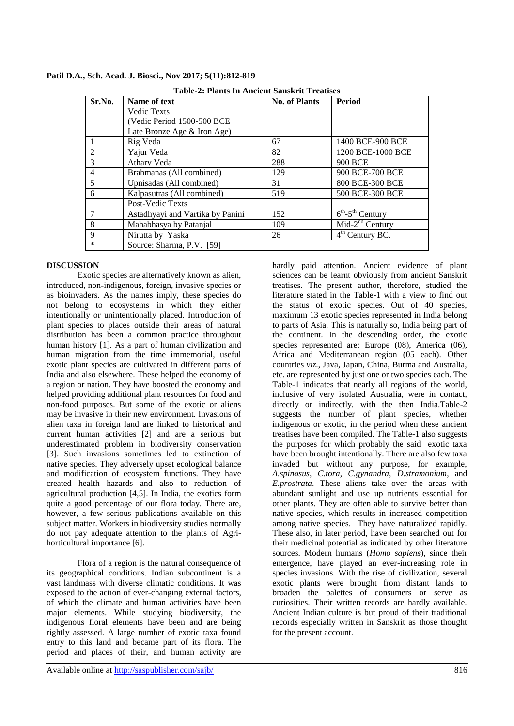| <b>Table-2: Plants In Ancient Sanskrit Treatises</b> |                                  |                      |                                                     |  |  |
|------------------------------------------------------|----------------------------------|----------------------|-----------------------------------------------------|--|--|
| Sr.No.                                               | Name of text                     | <b>No. of Plants</b> | <b>Period</b>                                       |  |  |
|                                                      | <b>Vedic Texts</b>               |                      |                                                     |  |  |
|                                                      | (Vedic Period 1500-500 BCE)      |                      |                                                     |  |  |
|                                                      | Late Bronze Age & Iron Age)      |                      |                                                     |  |  |
|                                                      | Rig Veda                         | 67                   | 1400 BCE-900 BCE                                    |  |  |
| $\overline{2}$                                       | Yajur Veda                       | 82                   | 1200 BCE-1000 BCE                                   |  |  |
| 3                                                    | Athary Veda                      | 288                  | 900 BCE                                             |  |  |
| $\overline{4}$                                       | Brahmanas (All combined)         | 129                  | 900 BCE-700 BCE                                     |  |  |
| 5                                                    | Upnisadas (All combined)         | 31                   | 800 BCE-300 BCE                                     |  |  |
| 6                                                    | Kalpasutras (All combined)       | 519                  | 500 BCE-300 BCE                                     |  |  |
|                                                      | Post-Vedic Texts                 |                      |                                                     |  |  |
|                                                      | Astadhyayi and Vartika by Panini | 152                  | $\overline{6}^{\text{th}}$ -5 <sup>th</sup> Century |  |  |
| 8                                                    | Mahabhasya by Patanjal           | 109                  | $Mid-2nd Century$                                   |  |  |
| 9                                                    | Nirutta by Yaska                 | 26                   | $4th$ Century BC.                                   |  |  |
| $\ast$                                               | Source: Sharma, P.V. [59]        |                      |                                                     |  |  |

**Patil D.A***.***, Sch. Acad. J. Biosci., Nov 2017; 5(11):812-819**

### **DISCUSSION**

Exotic species are alternatively known as alien, introduced, non-indigenous, foreign, invasive species or as bioinvaders. As the names imply, these species do not belong to ecosystems in which they either intentionally or unintentionally placed. Introduction of plant species to places outside their areas of natural distribution has been a common practice throughout human history [1]. As a part of human civilization and human migration from the time immemorial, useful exotic plant species are cultivated in different parts of India and also elsewhere. These helped the economy of a region or nation. They have boosted the economy and helped providing additional plant resources for food and non-food purposes. But some of the exotic or aliens may be invasive in their new environment. Invasions of alien taxa in foreign land are linked to historical and current human activities [2] and are a serious but underestimated problem in biodiversity conservation [3]. Such invasions sometimes led to extinction of native species. They adversely upset ecological balance and modification of ecosystem functions. They have created health hazards and also to reduction of agricultural production [4,5]. In India, the exotics form quite a good percentage of our flora today. There are, however, a few serious publications available on this subject matter. Workers in biodiversity studies normally do not pay adequate attention to the plants of Agrihorticultural importance [6].

Flora of a region is the natural consequence of its geographical conditions. Indian subcontinent is a vast landmass with diverse climatic conditions. It was exposed to the action of ever-changing external factors, of which the climate and human activities have been major elements. While studying biodiversity, the indigenous floral elements have been and are being rightly assessed. A large number of exotic taxa found entry to this land and became part of its flora. The period and places of their, and human activity are

hardly paid attention. Ancient evidence of plant sciences can be learnt obviously from ancient Sanskrit treatises. The present author, therefore, studied the literature stated in the Table-1 with a view to find out the status of exotic species. Out of 40 species, maximum 13 exotic species represented in India belong to parts of Asia. This is naturally so, India being part of the continent. In the descending order, the exotic species represented are: Europe (08), America (06), Africa and Mediterranean region (05 each). Other countries *viz*., Java, Japan, China, Burma and Australia, etc. are represented by just one or two species each. The Table-1 indicates that nearly all regions of the world, inclusive of very isolated Australia, were in contact, directly or indirectly, with the then India.Table-2 suggests the number of plant species, whether indigenous or exotic, in the period when these ancient treatises have been compiled. The Table-1 also suggests the purposes for which probably the said exotic taxa have been brought intentionally. There are also few taxa invaded but without any purpose, for example, *A.spinosus*, *C.tora*, *C.gynandra*, *D.stramonium*, and *E.prostrata*. These aliens take over the areas with abundant sunlight and use up nutrients essential for other plants. They are often able to survive better than native species, which results in increased competition among native species. They have naturalized rapidly. These also, in later period, have been searched out for their medicinal potential as indicated by other literature sources. Modern humans (*Homo sapiens*), since their emergence, have played an ever-increasing role in species invasions. With the rise of civilization, several exotic plants were brought from distant lands to broaden the palettes of consumers or serve as curiosities. Their written records are hardly available. Ancient Indian culture is but proud of their traditional records especially written in Sanskrit as those thought for the present account.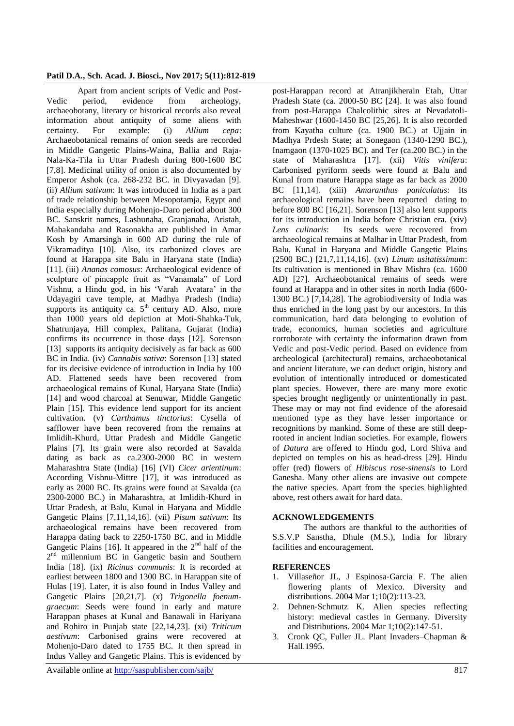## **Patil D.A***.***, Sch. Acad. J. Biosci., Nov 2017; 5(11):812-819**

Apart from ancient scripts of Vedic and Post-Vedic period, evidence from archeology, archaeobotany, literary or historical records also reveal information about antiquity of some aliens with certainty. For example: (i) *Allium cepa*: Archaeobotanical remains of onion seeds are recorded in Middle Gangetic Plains-Waina, Ballia and Raja-Nala-Ka-Tila in Uttar Pradesh during 800-1600 BC [7,8]. Medicinal utility of onion is also documented by Emperor Ashok (ca. 268-232 BC. in Divyavadan [9]. (ii) *Allium sativum*: It was introduced in India as a part of trade relationship between Mesopotamja, Egypt and India especially during Mohenjo-Daro period about 300 BC. Sanskrit names, Lashunaha, Granjanaha, Aristah, Mahakandaha and Rasonakha are published in Amar Kosh by Amarsingh in 600 AD during the rule of Vikramaditya [10]. Also, its carbonized cloves are found at Harappa site Balu in Haryana state (India) [11]. (iii) *Ananas comosus*: Archaeological evidence of sculpture of pineapple fruit as "Vanamala" of Lord Vishnu, a Hindu god, in his "Varah Avatara" in the Udayagiri cave temple, at Madhya Pradesh (India) supports its antiquity ca.  $5<sup>th</sup>$  century AD. Also, more than 1000 years old depiction at Moti-Shahka-Tuk, Shatrunjaya, Hill complex, Palitana, Gujarat (India) confirms its occurrence in those days [12]. Sorenson [13] supports its antiquity decisively as far back as 600 BC in India. (iv) *Cannabis sativa*: Sorenson [13] stated for its decisive evidence of introduction in India by 100 AD. Flattened seeds have been recovered from archaeological remains of Kunal, Haryana State (India) [14] and wood charcoal at Senuwar, Middle Gangetic Plain [15]. This evidence lend support for its ancient cultivation. (v) *Carthamus tinctorius*: Cysella of safflower have been recovered from the remains at Imlidih-Khurd, Uttar Pradesh and Middle Gangetic Plains [7]. Its grain were also recorded at Savalda dating as back as ca.2300-2000 BC in western Maharashtra State (India) [16] (VI) *Cicer arientinum*: According Vishnu-Mittre [17], it was introduced as early as 2000 BC. Its grains were found at Savalda (ca 2300-2000 BC.) in Maharashtra, at Imlidih-Khurd in Uttar Pradesh, at Balu, Kunal in Haryana and Middle Gangetic Plains [7,11,14,16]. (vii) *Pisum sativum*: Its archaeological remains have been recovered from Harappa dating back to 2250-1750 BC. and in Middle Gangetic Plains [16]. It appeared in the  $2<sup>nd</sup>$  half of the 2<sup>nd</sup> millennium BC in Gangetic basin and Southern India [18]. (ix) *Ricinus communis*: It is recorded at earliest between 1800 and 1300 BC. in Harappan site of Hulas [19]. Later, it is also found in Indus Valley and Gangetic Plains [20,21,7]. (x) *Trigonella foenumgraecum*: Seeds were found in early and mature Harappan phases at Kunal and Banawali in Hariyana and Rohiro in Punjab state [22,14,23]. (xi) *Triticum aestivum*: Carbonised grains were recovered at Mohenjo-Daro dated to 1755 BC. It then spread in Indus Valley and Gangetic Plains. This is evidenced by

post-Harappan record at Atranjikherain Etah, Uttar Pradesh State (ca. 2000-50 BC [24]. It was also found from post-Harappa Chalcolithic sites at Nevadatoli-Maheshwar (1600-1450 BC [25,26]. It is also recorded from Kayatha culture (ca. 1900 BC.) at Ujjain in Madhya Prdesh State; at Sonegaon (1340-1290 BC.), Inamgaon (1370-1025 BC). and Ter (ca.200 BC.) in the state of Maharashtra [17]. (xii) *Vitis vinifera*: Carbonised pyriform seeds were found at Balu and Kunal from mature Harappa stage as far back as 2000 BC [11,14]. (xiii) *Amaranthus paniculatus*: Its archaeological remains have been reported dating to before 800 BC [16,21]. Sorenson [13] also lent supports for its introduction in India before Christian era. (xiv) *Lens culinaris*: Its seeds were recovered from archaeological remains at Malhar in Uttar Pradesh, from Balu, Kunal in Haryana and Middle Gangetic Plains (2500 BC.) [21,7,11,14,16]. (xv) *Linum usitatissimum*: Its cultivation is mentioned in Bhav Mishra (ca. 1600 AD) [27]. Archaeobotanical remains of seeds were found at Harappa and in other sites in north India (600- 1300 BC.) [7,14,28]. The agrobiodiversity of India was thus enriched in the long past by our ancestors. In this communication, hard data belonging to evolution of trade, economics, human societies and agriculture corroborate with certainty the information drawn from Vedic and post-Vedic period. Based on evidence from archeological (architectural) remains, archaeobotanical and ancient literature, we can deduct origin, history and evolution of intentionally introduced or domesticated plant species. However, there are many more exotic species brought negligently or unintentionally in past. These may or may not find evidence of the aforesaid mentioned type as they have lesser importance or recognitions by mankind. Some of these are still deeprooted in ancient Indian societies. For example, flowers of *Datura* are offered to Hindu god, Lord Shiva and depicted on temples on his as head-dress [29]. Hindu offer (red) flowers of *Hibiscus rose-sinensis* to Lord Ganesha. Many other aliens are invasive out compete the native species. Apart from the species highlighted above, rest others await for hard data.

### **ACKNOWLEDGEMENTS**

The authors are thankful to the authorities of S.S.V.P Sanstha, Dhule (M.S.), India for library facilities and encouragement.

### **REFERENCES**

- 1. Villaseñor JL, J Espinosa‐Garcia F. The alien flowering plants of Mexico. Diversity and distributions. 2004 Mar 1;10(2):113-23.
- 2. Dehnen‐Schmutz K. Alien species reflecting history: medieval castles in Germany. Diversity and Distributions. 2004 Mar 1;10(2):147-51.
- 3. Cronk QC, Fuller JL. Plant Invaders–Chapman & Hall.1995.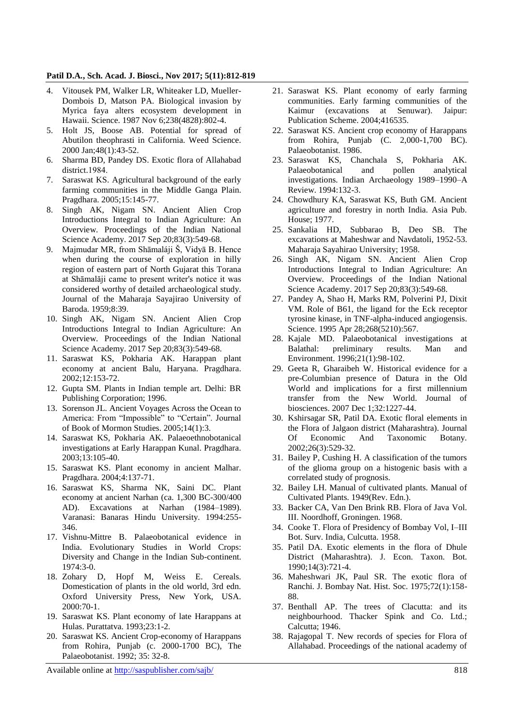#### **Patil D.A***.***, Sch. Acad. J. Biosci., Nov 2017; 5(11):812-819**

- 4. Vitousek PM, Walker LR, Whiteaker LD, Mueller-Dombois D, Matson PA. Biological invasion by Myrica faya alters ecosystem development in Hawaii. Science. 1987 Nov 6;238(4828):802-4.
- 5. Holt JS, Boose AB. Potential for spread of Abutilon theophrasti in California. Weed Science. 2000 Jan;48(1):43-52.
- 6. Sharma BD, Pandey DS. Exotic flora of Allahabad district.1984.
- 7. Saraswat KS. Agricultural background of the early farming communities in the Middle Ganga Plain. Pragdhara. 2005;15:145-77.
- 8. Singh AK, Nigam SN. Ancient Alien Crop Introductions Integral to Indian Agriculture: An Overview. Proceedings of the Indian National Science Academy. 2017 Sep 20;83(3):549-68.
- 9. Majmudar MR, from Shāmaláji Š, Vidyā B. Hence when during the course of exploration in hilly region of eastern part of North Gujarat this Torana at Shāmalăji came to present writer's notice it was considered worthy of detailed archaeological study. Journal of the Maharaja Sayajirao University of Baroda. 1959;8:39.
- 10. Singh AK, Nigam SN. Ancient Alien Crop Introductions Integral to Indian Agriculture: An Overview. Proceedings of the Indian National Science Academy. 2017 Sep 20;83(3):549-68.
- 11. Saraswat KS, Pokharia AK. Harappan plant economy at ancient Balu, Haryana. Pragdhara. 2002;12:153-72.
- 12. Gupta SM. Plants in Indian temple art. Delhi: BR Publishing Corporation; 1996.
- 13. Sorenson JL. Ancient Voyages Across the Ocean to America: From "Impossible" to "Certain". Journal of Book of Mormon Studies. 2005;14(1):3.
- 14. Saraswat KS, Pokharia AK. Palaeoethnobotanical investigations at Early Harappan Kunal. Pragdhara. 2003;13:105-40.
- 15. Saraswat KS. Plant economy in ancient Malhar. Pragdhara. 2004;4:137-71.
- 16. Saraswat KS, Sharma NK, Saini DC. Plant economy at ancient Narhan (ca. 1,300 BC-300/400 AD). Excavations at Narhan (1984–1989). Varanasi: Banaras Hindu University. 1994:255- 346.
- 17. Vishnu-Mittre B. Palaeobotanical evidence in India. Evolutionary Studies in World Crops: Diversity and Change in the Indian Sub-continent. 1974:3-0.
- 18. Zohary D, Hopf M, Weiss E. Cereals. Domestication of plants in the old world, 3rd edn. Oxford University Press, New York, USA. 2000:70-1.
- 19. Saraswat KS. Plant economy of late Harappans at Hulas. Purattatva. 1993;23:1-2.
- 20. Saraswat KS. Ancient Crop-economy of Harappans from Rohira, Punjab (c. 2000-1700 BC), The Palaeobotanist. 1992; 35: 32-8.
- 21. Saraswat KS. Plant economy of early farming communities. Early farming communities of the Kaimur (excavations at Senuwar). Jaipur: Publication Scheme. 2004;416535.
- 22. Saraswat KS. Ancient crop economy of Harappans from Rohira, Punjab (C. 2,000-1,700 BC). Palaeobotanist. 1986.
- 23. Saraswat KS, Chanchala S, Pokharia AK. Palaeobotanical and pollen analytical investigations. Indian Archaeology 1989–1990–A Review. 1994:132-3.
- 24. Chowdhury KA, Saraswat KS, Buth GM. Ancient agriculture and forestry in north India. Asia Pub. House; 1977.
- 25. Sankalia HD, Subbarao B, Deo SB. The excavations at Maheshwar and Navdatoli, 1952-53. Maharaja Sayahirao University; 1958.
- 26. Singh AK, Nigam SN. Ancient Alien Crop Introductions Integral to Indian Agriculture: An Overview. Proceedings of the Indian National Science Academy. 2017 Sep 20;83(3):549-68.
- 27. Pandey A, Shao H, Marks RM, Polverini PJ, Dixit VM. Role of B61, the ligand for the Eck receptor tyrosine kinase, in TNF-alpha-induced angiogensis. Science. 1995 Apr 28;268(5210):567.
- 28. Kajale MD. Palaeobotanical investigations at Balathal: preliminary results. Man and Environment. 1996;21(1):98-102.
- 29. Geeta R, Gharaibeh W. Historical evidence for a pre-Columbian presence of Datura in the Old World and implications for a first millennium transfer from the New World. Journal of biosciences. 2007 Dec 1;32:1227-44.
- 30. Kshirsagar SR, Patil DA. Exotic floral elements in the Flora of Jalgaon district (Maharashtra). Journal Of Economic And Taxonomic Botany. 2002;26(3):529-32.
- 31. Bailey P, Cushing H. A classification of the tumors of the glioma group on a histogenic basis with a correlated study of prognosis.
- 32. Bailey LH. Manual of cultivated plants. Manual of Cultivated Plants. 1949(Rev. Edn.).
- 33. Backer CA, Van Den Brink RB. Flora of Java Vol. III. Noordhoff, Groningen. 1968.
- 34. Cooke T. Flora of Presidency of Bombay Vol, I–III Bot. Surv. India, Culcutta. 1958.
- 35. Patil DA. Exotic elements in the flora of Dhule District (Maharashtra). J. Econ. Taxon. Bot. 1990;14(3):721-4.
- 36. Maheshwari JK, Paul SR. The exotic flora of Ranchi. J. Bombay Nat. Hist. Soc. 1975;72(1):158- 88.
- 37. Benthall AP. The trees of Clacutta: and its neighbourhood. Thacker Spink and Co. Ltd.; Calcutta; 1946.
- 38. Rajagopal T. New records of species for Flora of Allahabad. Proceedings of the national academy of

Available online at<http://saspublisher.com/sajb/> 818